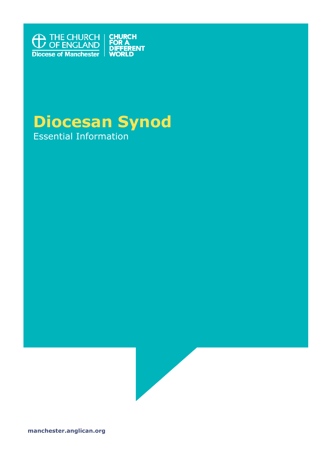

# **Diocesan Synod** Essential Information



**manchester.anglican.org**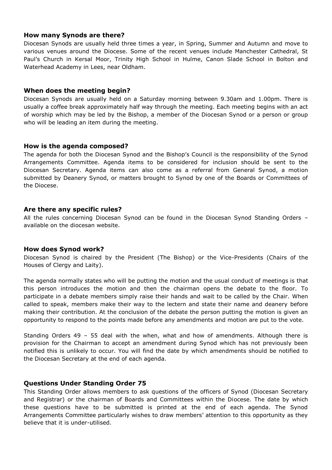## **How many Synods are there?**

Diocesan Synods are usually held three times a year, in Spring, Summer and Autumn and move to various venues around the Diocese. Some of the recent venues include Manchester Cathedral, St Paul's Church in Kersal Moor, Trinity High School in Hulme, Canon Slade School in Bolton and Waterhead Academy in Lees, near Oldham.

#### **When does the meeting begin?**

Diocesan Synods are usually held on a Saturday morning between 9.30am and 1.00pm. There is usually a coffee break approximately half way through the meeting. Each meeting begins with an act of worship which may be led by the Bishop, a member of the Diocesan Synod or a person or group who will be leading an item during the meeting.

## **How is the agenda composed?**

The agenda for both the Diocesan Synod and the Bishop's Council is the responsibility of the Synod Arrangements Committee. Agenda items to be considered for inclusion should be sent to the Diocesan Secretary. Agenda items can also come as a referral from General Synod, a motion submitted by Deanery Synod, or matters brought to Synod by one of the Boards or Committees of the Diocese.

## **Are there any specific rules?**

All the rules concerning Diocesan Synod can be found in the Diocesan Synod Standing Orders – available on the diocesan website.

#### **How does Synod work?**

Diocesan Synod is chaired by the President (The Bishop) or the Vice-Presidents (Chairs of the Houses of Clergy and Laity).

The agenda normally states who will be putting the motion and the usual conduct of meetings is that this person introduces the motion and then the chairman opens the debate to the floor. To participate in a debate members simply raise their hands and wait to be called by the Chair. When called to speak, members make their way to the lectern and state their name and deanery before making their contribution. At the conclusion of the debate the person putting the motion is given an opportunity to respond to the points made before any amendments and motion are put to the vote.

Standing Orders 49 – 55 deal with the when, what and how of amendments. Although there is provision for the Chairman to accept an amendment during Synod which has not previously been notified this is unlikely to occur. You will find the date by which amendments should be notified to the Diocesan Secretary at the end of each agenda.

# **Questions Under Standing Order 75**

This Standing Order allows members to ask questions of the officers of Synod (Diocesan Secretary and Registrar) or the chairman of Boards and Committees within the Diocese. The date by which these questions have to be submitted is printed at the end of each agenda. The Synod Arrangements Committee particularly wishes to draw members' attention to this opportunity as they believe that it is under-utilised.